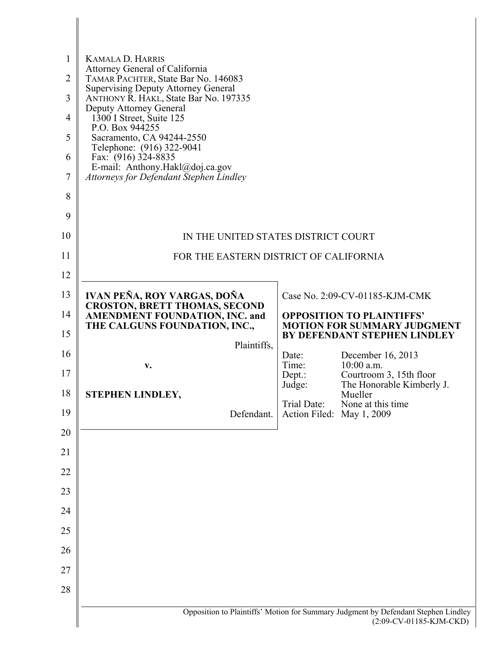| 1              | <b>KAMALA D. HARRIS</b>                                                             |                           |                                                                                                               |
|----------------|-------------------------------------------------------------------------------------|---------------------------|---------------------------------------------------------------------------------------------------------------|
| $\overline{2}$ | Attorney General of California<br>TAMAR PACHTER, State Bar No. 146083               |                           |                                                                                                               |
| 3              | <b>Supervising Deputy Attorney General</b><br>ANTHONY R. HAKL, State Bar No. 197335 |                           |                                                                                                               |
| 4              | Deputy Attorney General<br>1300 I Street, Suite 125                                 |                           |                                                                                                               |
| 5              | P.O. Box 944255<br>Sacramento, CA 94244-2550                                        |                           |                                                                                                               |
| 6              | Telephone: (916) 322-9041<br>Fax: (916) 324-8835                                    |                           |                                                                                                               |
| 7              | E-mail: Anthony.Hakl@doj.ca.gov<br>Attorneys for Defendant Stephen Lindley          |                           |                                                                                                               |
| 8              |                                                                                     |                           |                                                                                                               |
| 9              |                                                                                     |                           |                                                                                                               |
| 10             | IN THE UNITED STATES DISTRICT COURT                                                 |                           |                                                                                                               |
| 11             | FOR THE EASTERN DISTRICT OF CALIFORNIA                                              |                           |                                                                                                               |
| 12             |                                                                                     |                           |                                                                                                               |
| 13             | IVAN PEÑA, ROY VARGAS, DOÑA<br><b>CROSTON, BRETT THOMAS, SECOND</b>                 |                           | Case No. 2:09-CV-01185-KJM-CMK                                                                                |
| 14             | <b>AMENDMENT FOUNDATION, INC. and</b><br>THE CALGUNS FOUNDATION, INC.,              |                           | <b>OPPOSITION TO PLAINTIFFS'</b><br><b>MOTION FOR SUMMARY JUDGMENT</b>                                        |
| 15             | Plaintiffs,                                                                         |                           | BY DEFENDANT STEPHEN LINDLEY                                                                                  |
| 16             | V.                                                                                  | Date:<br>Time:            | December 16, 2013<br>$10:00$ a.m.                                                                             |
| 17             |                                                                                     | Depth:<br>Judge:          | Courtroom 3, 15th floor<br>The Honorable Kimberly J.                                                          |
| 18             | STEPHEN LINDLEY,                                                                    | Trial Date:               | Mueller<br>None at this time.                                                                                 |
| 19             | Defendant.                                                                          | Action Filed: May 1, 2009 |                                                                                                               |
| 20             |                                                                                     |                           |                                                                                                               |
| 21             |                                                                                     |                           |                                                                                                               |
| 22             |                                                                                     |                           |                                                                                                               |
| 23             |                                                                                     |                           |                                                                                                               |
| 24             |                                                                                     |                           |                                                                                                               |
| 25             |                                                                                     |                           |                                                                                                               |
| 26<br>27       |                                                                                     |                           |                                                                                                               |
| 28             |                                                                                     |                           |                                                                                                               |
|                |                                                                                     |                           |                                                                                                               |
|                |                                                                                     |                           | Opposition to Plaintiffs' Motion for Summary Judgment by Defendant Stephen Lindley<br>(2:09-CV-01185-KJM-CKD) |

I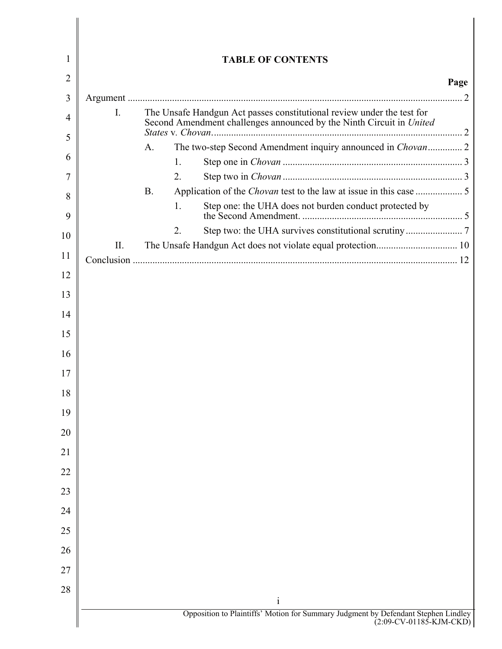| 2<br>3<br>4 | Ι.  |             |                                                                                                                                                |                                                                                                                               | Page |
|-------------|-----|-------------|------------------------------------------------------------------------------------------------------------------------------------------------|-------------------------------------------------------------------------------------------------------------------------------|------|
|             |     |             |                                                                                                                                                |                                                                                                                               |      |
|             |     |             |                                                                                                                                                |                                                                                                                               |      |
|             |     |             | The Unsafe Handgun Act passes constitutional review under the test for<br>Second Amendment challenges announced by the Ninth Circuit in United |                                                                                                                               |      |
| 5           |     | $A_{\cdot}$ |                                                                                                                                                |                                                                                                                               |      |
| 6           |     |             | 1.                                                                                                                                             |                                                                                                                               |      |
|             |     |             | 2.                                                                                                                                             |                                                                                                                               |      |
| 8           |     | <b>B.</b>   |                                                                                                                                                |                                                                                                                               |      |
| 9           |     |             | 1.                                                                                                                                             | Step one: the UHA does not burden conduct protected by                                                                        |      |
| 10          |     |             | 2.                                                                                                                                             |                                                                                                                               |      |
|             | II. |             |                                                                                                                                                |                                                                                                                               |      |
| 11<br>12    |     |             |                                                                                                                                                |                                                                                                                               |      |
| 13          |     |             |                                                                                                                                                |                                                                                                                               |      |
| 14          |     |             |                                                                                                                                                |                                                                                                                               |      |
| 15          |     |             |                                                                                                                                                |                                                                                                                               |      |
| 16          |     |             |                                                                                                                                                |                                                                                                                               |      |
| 17          |     |             |                                                                                                                                                |                                                                                                                               |      |
| 18          |     |             |                                                                                                                                                |                                                                                                                               |      |
| 19          |     |             |                                                                                                                                                |                                                                                                                               |      |
| 20          |     |             |                                                                                                                                                |                                                                                                                               |      |
| 21          |     |             |                                                                                                                                                |                                                                                                                               |      |
| 22          |     |             |                                                                                                                                                |                                                                                                                               |      |
| 23          |     |             |                                                                                                                                                |                                                                                                                               |      |
| 24          |     |             |                                                                                                                                                |                                                                                                                               |      |
| 25          |     |             |                                                                                                                                                |                                                                                                                               |      |
| 26          |     |             |                                                                                                                                                |                                                                                                                               |      |
| 27          |     |             |                                                                                                                                                |                                                                                                                               |      |
| 28          |     |             |                                                                                                                                                |                                                                                                                               |      |
|             |     |             |                                                                                                                                                | $\mathbf{i}$<br>Opposition to Plaintiffs' Motion for Summary Judgment by Defendant Stephen Lindley<br>(2:09-CV-01185-KJM-CKD) |      |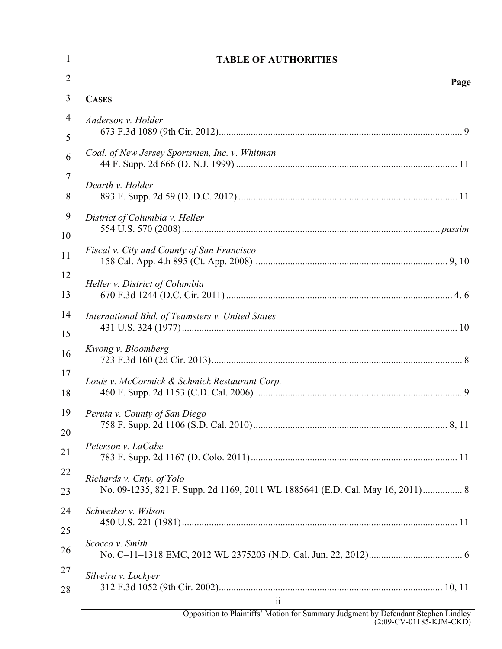| 1                   | <b>TABLE OF AUTHORITIES</b>                                                                                      |
|---------------------|------------------------------------------------------------------------------------------------------------------|
| $\overline{2}$      | <b>Page</b>                                                                                                      |
| 3                   | <b>CASES</b>                                                                                                     |
| 4<br>5              | Anderson v. Holder                                                                                               |
| 6                   | Coal. of New Jersey Sportsmen, Inc. v. Whitman                                                                   |
| $\overline{7}$<br>8 | Dearth v. Holder                                                                                                 |
| 9<br>10             | District of Columbia v. Heller                                                                                   |
| 11                  | Fiscal v. City and County of San Francisco                                                                       |
| 12<br>13            | Heller v. District of Columbia                                                                                   |
| 14<br>15            | International Bhd. of Teamsters v. United States                                                                 |
| 16                  | Kwong v. Bloomberg                                                                                               |
| 17<br>18            | Louis v. McCormick & Schmick Restaurant Corp.                                                                    |
| 19<br>20            | Peruta v. County of San Diego                                                                                    |
| 21                  | Peterson v. LaCabe                                                                                               |
| 22<br>23            | Richards v. Cnty. of Yolo<br>No. 09-1235, 821 F. Supp. 2d 1169, 2011 WL 1885641 (E.D. Cal. May 16, 2011) 8       |
| 24                  | Schweiker v. Wilson                                                                                              |
| 25<br>26            | Scocca v. Smith                                                                                                  |
| 27<br>28            | Silveira v. Lockyer<br>$\overline{\mathbf{u}}$                                                                   |
|                     | Opposition to Plaintiffs' Motion for Summary Judgment by Defendant Stephen Lindley<br>$(2:09$ -CV-01185-KJM-CKD) |

 $\parallel$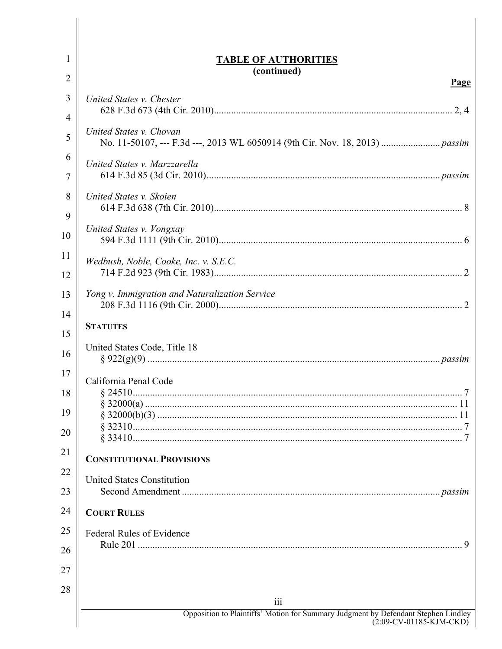| 1                    | <b>TABLE OF AUTHORITIES</b>                                                               |
|----------------------|-------------------------------------------------------------------------------------------|
| 2                    | (continued)<br>Page                                                                       |
| 3<br>4               | United States v. Chester                                                                  |
| 5                    | United States v. Chovan                                                                   |
| 6<br>7               | United States v. Marzzarella                                                              |
| 8<br>9               | United States v. Skoien                                                                   |
| 10                   | United States v. Vongxay                                                                  |
| 11<br>12             | Wedbush, Noble, Cooke, Inc. v. S.E.C.                                                     |
| 13<br>14             | Yong v. Immigration and Naturalization Service                                            |
| 15                   | <b>STATUTES</b>                                                                           |
| 16                   | United States Code, Title 18                                                              |
| 17<br>18<br>19<br>20 | California Penal Code                                                                     |
| 21                   | <b>CONSTITUTIONAL PROVISIONS</b>                                                          |
| 22<br>23             | <b>United States Constitution</b>                                                         |
| 24                   | <b>COURT RULES</b>                                                                        |
| 25<br>26             | Federal Rules of Evidence                                                                 |
| 27                   |                                                                                           |
| 28                   |                                                                                           |
|                      | 111<br>Opposition to Plaintiffs' Motion for Summary Judgment by Defendant Stephen Lindley |
|                      | $(2:09$ -CV-01185-KJM-CKD $)$                                                             |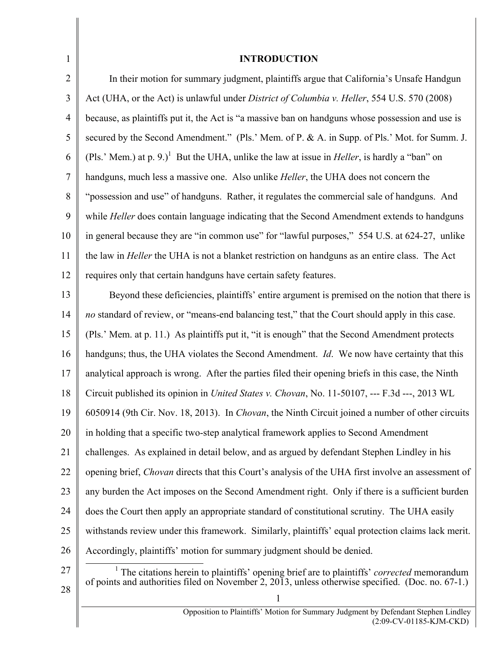| $\mathbf{1}$   | <b>INTRODUCTION</b>                                                                                              |  |
|----------------|------------------------------------------------------------------------------------------------------------------|--|
| $\overline{2}$ | In their motion for summary judgment, plaintiffs argue that California's Unsafe Handgun                          |  |
| 3              | Act (UHA, or the Act) is unlawful under District of Columbia v. Heller, 554 U.S. 570 (2008)                      |  |
| $\overline{4}$ | because, as plaintiffs put it, the Act is "a massive ban on handguns whose possession and use is                 |  |
| 5              | secured by the Second Amendment." (Pls.' Mem. of P. & A. in Supp. of Pls.' Mot. for Summ. J.                     |  |
| 6              | (Pls.' Mem.) at p. 9.) <sup>1</sup> But the UHA, unlike the law at issue in <i>Heller</i> , is hardly a "ban" on |  |
| 7              | handguns, much less a massive one. Also unlike <i>Heller</i> , the UHA does not concern the                      |  |
| 8              | "possession and use" of handguns. Rather, it regulates the commercial sale of handguns. And                      |  |
| 9              | while Heller does contain language indicating that the Second Amendment extends to handguns                      |  |
| 10             | in general because they are "in common use" for "lawful purposes," 554 U.S. at 624-27, unlike                    |  |
| 11             | the law in <i>Heller</i> the UHA is not a blanket restriction on handguns as an entire class. The Act            |  |
| 12             | requires only that certain handguns have certain safety features.                                                |  |
| 13             | Beyond these deficiencies, plaintiffs' entire argument is premised on the notion that there is                   |  |
| 14             | no standard of review, or "means-end balancing test," that the Court should apply in this case.                  |  |
| 15             | (Pls.' Mem. at p. 11.) As plaintiffs put it, "it is enough" that the Second Amendment protects                   |  |
| 16             | handguns; thus, the UHA violates the Second Amendment. Id. We now have certainty that this                       |  |
| 17             | analytical approach is wrong. After the parties filed their opening briefs in this case, the Ninth               |  |
| 18             | Circuit published its opinion in <i>United States v. Chovan</i> , No. 11-50107, --- F.3d ---, 2013 WL            |  |
| 19             | 6050914 (9th Cir. Nov. 18, 2013). In Chovan, the Ninth Circuit joined a number of other circuits                 |  |
| 20             | in holding that a specific two-step analytical framework applies to Second Amendment                             |  |
| 21             | challenges. As explained in detail below, and as argued by defendant Stephen Lindley in his                      |  |
| 22             | opening brief, <i>Chovan</i> directs that this Court's analysis of the UHA first involve an assessment of        |  |
| 23             | any burden the Act imposes on the Second Amendment right. Only if there is a sufficient burden                   |  |
| 24             | does the Court then apply an appropriate standard of constitutional scrutiny. The UHA easily                     |  |
| 25             | with stands review under this framework. Similarly, plaintiffs' equal protection claims lack merit.              |  |
| 26             | Accordingly, plaintiffs' motion for summary judgment should be denied.                                           |  |
| 27             | <sup>1</sup> The citations herein to plaintiffs' opening brief are to plaintiffs' <i>corrected</i> memorandum    |  |
| 28             | of points and authorities filed on November 2, 2013, unless otherwise specified. (Doc. no. 67-1.)                |  |
|                | Opposition to Plaintiffs' Motion for Summary Judgment by Defendant Stephen Lindley                               |  |
|                | (2:09-CV-01185-KJM-CKD)                                                                                          |  |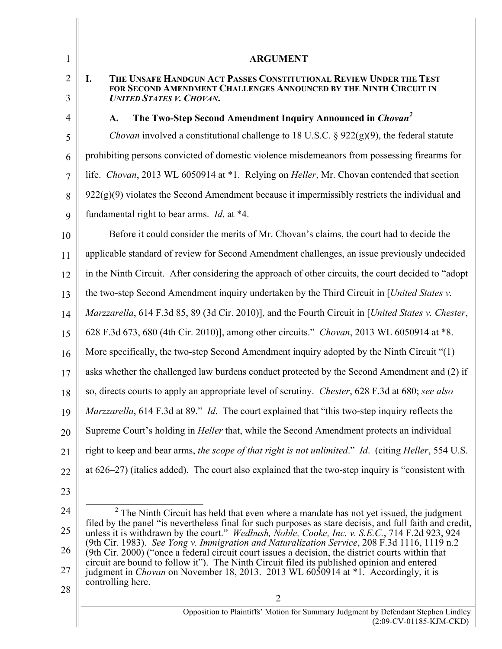| $\mathbf{1}$   | <b>ARGUMENT</b>                                                                                                                                                                                                    |  |  |  |
|----------------|--------------------------------------------------------------------------------------------------------------------------------------------------------------------------------------------------------------------|--|--|--|
| $\overline{2}$ | I.<br>THE UNSAFE HANDGUN ACT PASSES CONSTITUTIONAL REVIEW UNDER THE TEST<br>FOR SECOND AMENDMENT CHALLENGES ANNOUNCED BY THE NINTH CIRCUIT IN                                                                      |  |  |  |
| 3              | <b>UNITED STATES V. CHOVAN.</b>                                                                                                                                                                                    |  |  |  |
| $\overline{4}$ | The Two-Step Second Amendment Inquiry Announced in Chovan <sup>2</sup><br>A.                                                                                                                                       |  |  |  |
| 5              | <i>Chovan</i> involved a constitutional challenge to 18 U.S.C. § 922(g)(9), the federal statute                                                                                                                    |  |  |  |
| 6              | prohibiting persons convicted of domestic violence misdemeanors from possessing firearms for                                                                                                                       |  |  |  |
| 7              | life. Chovan, 2013 WL 6050914 at *1. Relying on <i>Heller</i> , Mr. Chovan contended that section                                                                                                                  |  |  |  |
| 8              | $922(g)(9)$ violates the Second Amendment because it impermissibly restricts the individual and                                                                                                                    |  |  |  |
| 9              | fundamental right to bear arms. <i>Id.</i> at *4.                                                                                                                                                                  |  |  |  |
| 10             | Before it could consider the merits of Mr. Chovan's claims, the court had to decide the                                                                                                                            |  |  |  |
| 11             | applicable standard of review for Second Amendment challenges, an issue previously undecided                                                                                                                       |  |  |  |
| 12             | in the Ninth Circuit. After considering the approach of other circuits, the court decided to "adopt"                                                                                                               |  |  |  |
| 13             | the two-step Second Amendment inquiry undertaken by the Third Circuit in [United States v.                                                                                                                         |  |  |  |
| 14             | Marzzarella, 614 F.3d 85, 89 (3d Cir. 2010)], and the Fourth Circuit in [United States v. Chester,                                                                                                                 |  |  |  |
| 15             | 628 F.3d 673, 680 (4th Cir. 2010)], among other circuits." Chovan, 2013 WL 6050914 at *8.                                                                                                                          |  |  |  |
| 16             | More specifically, the two-step Second Amendment inquiry adopted by the Ninth Circuit "(1)                                                                                                                         |  |  |  |
| 17             | asks whether the challenged law burdens conduct protected by the Second Amendment and (2) if                                                                                                                       |  |  |  |
| 18             | so, directs courts to apply an appropriate level of scrutiny. <i>Chester</i> , 628 F.3d at 680; see also                                                                                                           |  |  |  |
| 19             | Marzzarella, 614 F.3d at 89." Id. The court explained that "this two-step inquiry reflects the                                                                                                                     |  |  |  |
| 20             | Supreme Court's holding in <i>Heller</i> that, while the Second Amendment protects an individual                                                                                                                   |  |  |  |
| 21             | right to keep and bear arms, the scope of that right is not unlimited." Id. (citing Heller, 554 U.S.                                                                                                               |  |  |  |
| 22             | at $626-27$ ) (italics added). The court also explained that the two-step inquiry is "consistent with                                                                                                              |  |  |  |
| 23             |                                                                                                                                                                                                                    |  |  |  |
| 24             | $2$ The Ninth Circuit has held that even where a mandate has not yet issued, the judgment                                                                                                                          |  |  |  |
| 25             | filed by the panel "is nevertheless final for such purposes as stare decisis, and full faith and credit,<br>unless it is withdrawn by the court." <i>Wedbush, Noble, Cooke, Inc. v. S.E.C.</i> , 714 F.2d 923, 924 |  |  |  |
| 26             | (9th Cir. 1983). See Yong v. Immigration and Naturalization Service, 208 F.3d 1116, 1119 n.2<br>(9th Cir. 2000) ("once a federal circuit court issues a decision, the district courts within that                  |  |  |  |
| 27             | circuit are bound to follow it"). The Ninth Circuit filed its published opinion and entered<br>judgment in <i>Chovan</i> on November 18, 2013. 2013 WL 6050914 at *1. Accordingly, it is                           |  |  |  |
| 28             | controlling here.                                                                                                                                                                                                  |  |  |  |

28

Π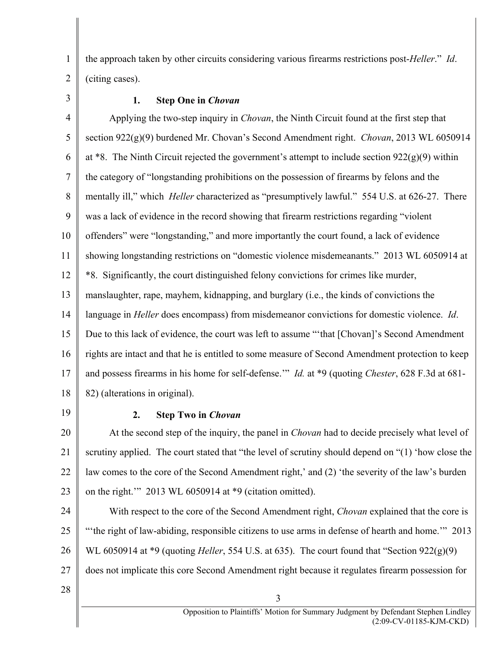the approach taken by other circuits considering various firearms restrictions post-*Heller*." *Id*. (citing cases).

3

1

2

# **1. Step One in** *Chovan*

4 5 6 7 8 9 10 11 12 13 14 15 16 17 18 Applying the two-step inquiry in *Chovan*, the Ninth Circuit found at the first step that section 922(g)(9) burdened Mr. Chovan's Second Amendment right. *Chovan*, 2013 WL 6050914 at  $*8$ . The Ninth Circuit rejected the government's attempt to include section  $922(g)(9)$  within the category of "longstanding prohibitions on the possession of firearms by felons and the mentally ill," which *Heller* characterized as "presumptively lawful." 554 U.S. at 626-27. There was a lack of evidence in the record showing that firearm restrictions regarding "violent offenders" were "longstanding," and more importantly the court found, a lack of evidence showing longstanding restrictions on "domestic violence misdemeanants." 2013 WL 6050914 at \*8. Significantly, the court distinguished felony convictions for crimes like murder, manslaughter, rape, mayhem, kidnapping, and burglary (i.e., the kinds of convictions the language in *Heller* does encompass) from misdemeanor convictions for domestic violence. *Id*. Due to this lack of evidence, the court was left to assume "'that [Chovan]'s Second Amendment rights are intact and that he is entitled to some measure of Second Amendment protection to keep and possess firearms in his home for self-defense.'" *Id.* at \*9 (quoting *Chester*, 628 F.3d at 681- 82) (alterations in original).

19

# **2. Step Two in** *Chovan*

20 21 22 23 At the second step of the inquiry, the panel in *Chovan* had to decide precisely what level of scrutiny applied. The court stated that "the level of scrutiny should depend on "(1) 'how close the law comes to the core of the Second Amendment right,' and (2) 'the severity of the law's burden on the right.'" 2013 WL 6050914 at \*9 (citation omitted).

24 25 26 27 With respect to the core of the Second Amendment right, *Chovan* explained that the core is "'the right of law-abiding, responsible citizens to use arms in defense of hearth and home.'" 2013 WL 6050914 at \*9 (quoting *Heller*, 554 U.S. at 635). The court found that "Section 922(g)(9) does not implicate this core Second Amendment right because it regulates firearm possession for

3

28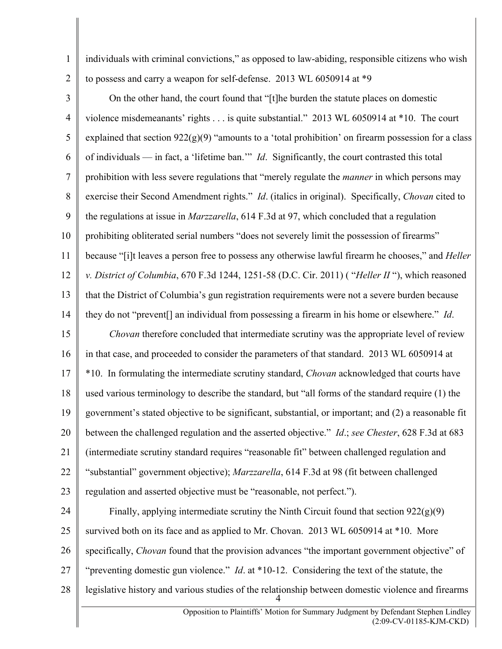individuals with criminal convictions," as opposed to law-abiding, responsible citizens who wish to possess and carry a weapon for self-defense. 2013 WL 6050914 at \*9

1

2

3 4 5 6 7 8 9 10 11 12 13 14 On the other hand, the court found that "[t]he burden the statute places on domestic violence misdemeanants' rights . . . is quite substantial." 2013 WL 6050914 at \*10. The court explained that section  $922(g)(9)$  "amounts to a 'total prohibition' on firearm possession for a class of individuals — in fact, a 'lifetime ban.'" *Id*. Significantly, the court contrasted this total prohibition with less severe regulations that "merely regulate the *manner* in which persons may exercise their Second Amendment rights." *Id*. (italics in original). Specifically, *Chovan* cited to the regulations at issue in *Marzzarella*, 614 F.3d at 97, which concluded that a regulation prohibiting obliterated serial numbers "does not severely limit the possession of firearms" because "[i]t leaves a person free to possess any otherwise lawful firearm he chooses," and *Heller v. District of Columbia*, 670 F.3d 1244, 1251-58 (D.C. Cir. 2011) ( "*Heller II* "), which reasoned that the District of Columbia's gun registration requirements were not a severe burden because they do not "prevent[] an individual from possessing a firearm in his home or elsewhere." *Id*.

15 16 17 18 19 20 21 22 23 *Chovan* therefore concluded that intermediate scrutiny was the appropriate level of review in that case, and proceeded to consider the parameters of that standard. 2013 WL 6050914 at \*10. In formulating the intermediate scrutiny standard, *Chovan* acknowledged that courts have used various terminology to describe the standard, but "all forms of the standard require (1) the government's stated objective to be significant, substantial, or important; and (2) a reasonable fit between the challenged regulation and the asserted objective." *Id*.; *see Chester*, 628 F.3d at 683 (intermediate scrutiny standard requires "reasonable fit" between challenged regulation and "substantial" government objective); *Marzzarella*, 614 F.3d at 98 (fit between challenged regulation and asserted objective must be "reasonable, not perfect.").

24 25 26 27 28 4 Finally, applying intermediate scrutiny the Ninth Circuit found that section  $922(g)(9)$ survived both on its face and as applied to Mr. Chovan. 2013 WL 6050914 at \*10. More specifically, *Chovan* found that the provision advances "the important government objective" of "preventing domestic gun violence." *Id*. at \*10-12. Considering the text of the statute, the legislative history and various studies of the relationship between domestic violence and firearms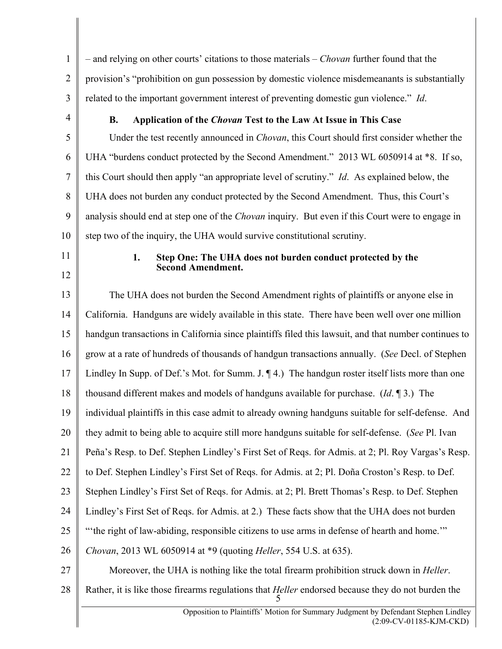1 2 3 – and relying on other courts' citations to those materials – *Chovan* further found that the provision's "prohibition on gun possession by domestic violence misdemeanants is substantially related to the important government interest of preventing domestic gun violence." *Id*.

4

## **B. Application of the** *Chovan* **Test to the Law At Issue in This Case**

5 6 7 8 9 10 Under the test recently announced in *Chovan*, this Court should first consider whether the UHA "burdens conduct protected by the Second Amendment." 2013 WL 6050914 at \*8. If so, this Court should then apply "an appropriate level of scrutiny." *Id*. As explained below, the UHA does not burden any conduct protected by the Second Amendment. Thus, this Court's analysis should end at step one of the *Chovan* inquiry. But even if this Court were to engage in step two of the inquiry, the UHA would survive constitutional scrutiny.

- 11
- 12

#### **1. Step One: The UHA does not burden conduct protected by the Second Amendment.**

13 14 15 16 17 18 19 20 21 22 23 24 25 26 27 The UHA does not burden the Second Amendment rights of plaintiffs or anyone else in California. Handguns are widely available in this state. There have been well over one million handgun transactions in California since plaintiffs filed this lawsuit, and that number continues to grow at a rate of hundreds of thousands of handgun transactions annually. (*See* Decl. of Stephen Lindley In Supp. of Def.'s Mot. for Summ. J.  $\P$ 4.) The handgun roster itself lists more than one thousand different makes and models of handguns available for purchase. (*Id*. ¶ 3.) The individual plaintiffs in this case admit to already owning handguns suitable for self-defense. And they admit to being able to acquire still more handguns suitable for self-defense. (*See* Pl. Ivan Peña's Resp. to Def. Stephen Lindley's First Set of Reqs. for Admis. at 2; Pl. Roy Vargas's Resp. to Def. Stephen Lindley's First Set of Reqs. for Admis. at 2; Pl. Doña Croston's Resp. to Def. Stephen Lindley's First Set of Reqs. for Admis. at 2; Pl. Brett Thomas's Resp. to Def. Stephen Lindley's First Set of Reqs. for Admis. at 2.) These facts show that the UHA does not burden "'the right of law-abiding, responsible citizens to use arms in defense of hearth and home.'" *Chovan*, 2013 WL 6050914 at \*9 (quoting *Heller*, 554 U.S. at 635). Moreover, the UHA is nothing like the total firearm prohibition struck down in *Heller*.

28 Rather, it is like those firearms regulations that *Heller* endorsed because they do not burden the

5 Opposition to Plaintiffs' Motion for Summary Judgment by Defendant Stephen Lindley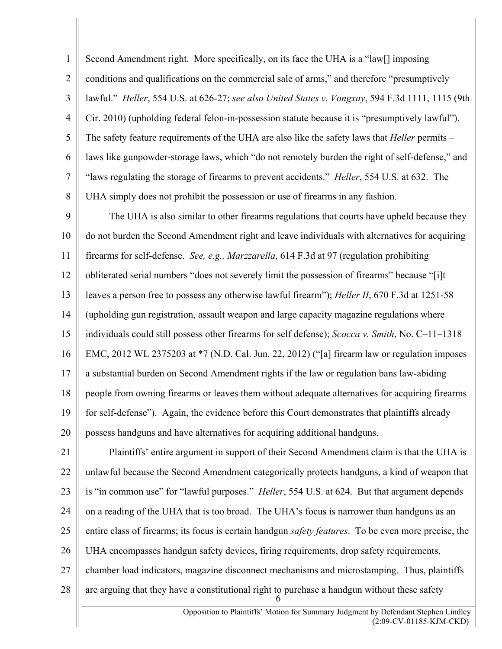1 2 3 4 5 6 7 8 Second Amendment right. More specifically, on its face the UHA is a "law[] imposing conditions and qualifications on the commercial sale of arms," and therefore "presumptively lawful." *Heller*, 554 U.S. at 626-27; *see also United States v. Vongxay*, 594 F.3d 1111, 1115 (9th Cir. 2010) (upholding federal felon-in-possession statute because it is "presumptively lawful"). The safety feature requirements of the UHA are also like the safety laws that *Heller* permits – laws like gunpowder-storage laws, which "do not remotely burden the right of self-defense," and "laws regulating the storage of firearms to prevent accidents." *Heller*, 554 U.S. at 632. The UHA simply does not prohibit the possession or use of firearms in any fashion.

9 10 11 12 13 14 15 16 17 18 19 20 The UHA is also similar to other firearms regulations that courts have upheld because they do not burden the Second Amendment right and leave individuals with alternatives for acquiring firearms for self-defense. *See, e.g., Marzzarella*, 614 F.3d at 97 (regulation prohibiting obliterated serial numbers "does not severely limit the possession of firearms" because "[i]t leaves a person free to possess any otherwise lawful firearm"); *Heller II*, 670 F.3d at 1251-58 (upholding gun registration, assault weapon and large capacity magazine regulations where individuals could still possess other firearms for self defense); *Scocca v. Smith*, No. C–11–1318 EMC, 2012 WL 2375203 at \*7 (N.D. Cal. Jun. 22, 2012) ("[a] firearm law or regulation imposes a substantial burden on Second Amendment rights if the law or regulation bans law-abiding people from owning firearms or leaves them without adequate alternatives for acquiring firearms for self-defense"). Again, the evidence before this Court demonstrates that plaintiffs already possess handguns and have alternatives for acquiring additional handguns.

21 22 23 24 25 26 27 28 6 Plaintiffs' entire argument in support of their Second Amendment claim is that the UHA is unlawful because the Second Amendment categorically protects handguns, a kind of weapon that is "in common use" for "lawful purposes." *Heller*, 554 U.S. at 624. But that argument depends on a reading of the UHA that is too broad. The UHA's focus is narrower than handguns as an entire class of firearms; its focus is certain handgun *safety features*. To be even more precise, the UHA encompasses handgun safety devices, firing requirements, drop safety requirements, chamber load indicators, magazine disconnect mechanisms and microstamping. Thus, plaintiffs are arguing that they have a constitutional right to purchase a handgun without these safety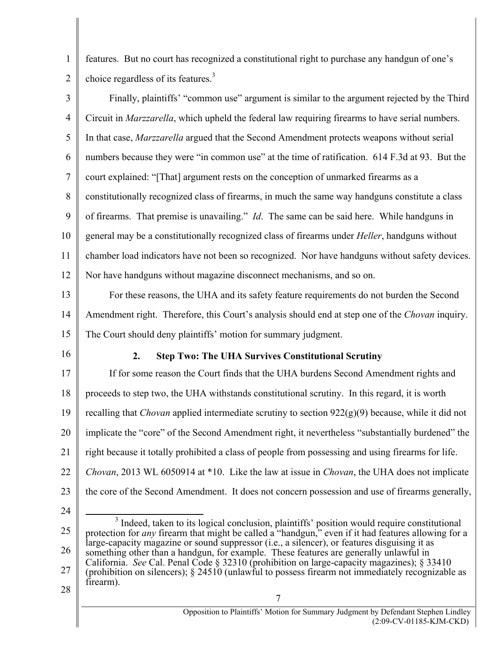1 2 features. But no court has recognized a constitutional right to purchase any handgun of one's choice regardless of its features.3

| $\overline{3}$ | Finally, plaintiffs' "common use" argument is similar to the argument rejected by the Third                                                                                                                           |  |  |
|----------------|-----------------------------------------------------------------------------------------------------------------------------------------------------------------------------------------------------------------------|--|--|
| $\overline{4}$ | Circuit in Marzzarella, which upheld the federal law requiring firearms to have serial numbers.                                                                                                                       |  |  |
| 5              | In that case, Marzzarella argued that the Second Amendment protects weapons without serial                                                                                                                            |  |  |
| 6              | numbers because they were "in common use" at the time of ratification. 614 F.3d at 93. But the                                                                                                                        |  |  |
| $\tau$         | court explained: "[That] argument rests on the conception of unmarked firearms as a                                                                                                                                   |  |  |
| 8              | constitutionally recognized class of firearms, in much the same way handguns constitute a class                                                                                                                       |  |  |
| 9              | of firearms. That premise is unavailing." <i>Id</i> . The same can be said here. While handguns in                                                                                                                    |  |  |
| 10             | general may be a constitutionally recognized class of firearms under <i>Heller</i> , handguns without                                                                                                                 |  |  |
| 11             | chamber load indicators have not been so recognized. Nor have handguns without safety devices.                                                                                                                        |  |  |
| 12             | Nor have handguns without magazine disconnect mechanisms, and so on.                                                                                                                                                  |  |  |
| 13             | For these reasons, the UHA and its safety feature requirements do not burden the Second                                                                                                                               |  |  |
| 14             | Amendment right. Therefore, this Court's analysis should end at step one of the Chovan inquiry.                                                                                                                       |  |  |
| 15             | The Court should deny plaintiffs' motion for summary judgment.                                                                                                                                                        |  |  |
|                |                                                                                                                                                                                                                       |  |  |
| 16             | 2.<br><b>Step Two: The UHA Survives Constitutional Scrutiny</b>                                                                                                                                                       |  |  |
| 17             | If for some reason the Court finds that the UHA burdens Second Amendment rights and                                                                                                                                   |  |  |
| 18             | proceeds to step two, the UHA withstands constitutional scrutiny. In this regard, it is worth                                                                                                                         |  |  |
| 19             | recalling that <i>Chovan</i> applied intermediate scrutiny to section $922(g)(9)$ because, while it did not                                                                                                           |  |  |
| 20             | implicate the "core" of the Second Amendment right, it nevertheless "substantially burdened" the                                                                                                                      |  |  |
| 21             | right because it totally prohibited a class of people from possessing and using firearms for life.                                                                                                                    |  |  |
| 22             | Chovan, 2013 WL 6050914 at *10. Like the law at issue in Chovan, the UHA does not implicate                                                                                                                           |  |  |
| 23             | the core of the Second Amendment. It does not concern possession and use of firearms generally,                                                                                                                       |  |  |
| 24             |                                                                                                                                                                                                                       |  |  |
| 25             | <sup>3</sup> Indeed, taken to its logical conclusion, plaintiffs' position would require constitutional<br>protection for <i>any</i> firearm that might be called a "handgun," even if it had features allowing for a |  |  |
| 26             | large-capacity magazine or sound suppressor (i.e., a silencer), or features disguising it as<br>something other than a handgun, for example. These features are generally unlawful in                                 |  |  |
| 27             | California. See Cal. Penal Code § 32310 (prohibition on large-capacity magazines); § 33410<br>(prohibition on silencers); $\S 24510$ (unlawful to possess firearm not immediately recognizable as<br>firearm).        |  |  |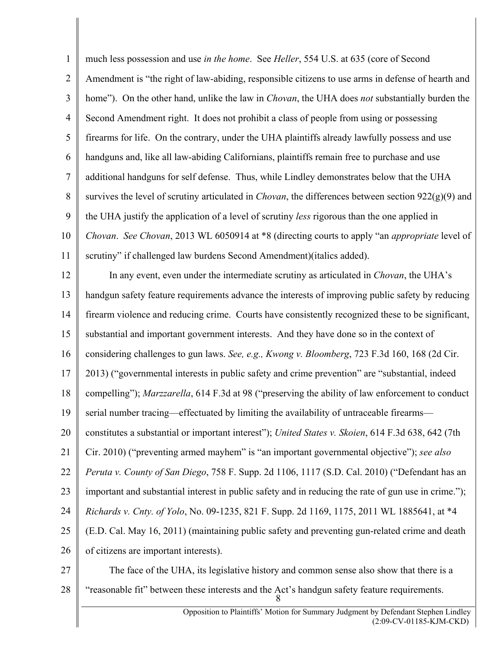1 2 3 4 5 6 7 8 9 10 11 much less possession and use *in the home*. See *Heller*, 554 U.S. at 635 (core of Second Amendment is "the right of law-abiding, responsible citizens to use arms in defense of hearth and home"). On the other hand, unlike the law in *Chovan*, the UHA does *not* substantially burden the Second Amendment right. It does not prohibit a class of people from using or possessing firearms for life. On the contrary, under the UHA plaintiffs already lawfully possess and use handguns and, like all law-abiding Californians, plaintiffs remain free to purchase and use additional handguns for self defense. Thus, while Lindley demonstrates below that the UHA survives the level of scrutiny articulated in *Chovan*, the differences between section  $922(g)(9)$  and the UHA justify the application of a level of scrutiny *less* rigorous than the one applied in *Chovan*. *See Chovan*, 2013 WL 6050914 at \*8 (directing courts to apply "an *appropriate* level of scrutiny" if challenged law burdens Second Amendment)(italics added).

12 13 14 15 16 17 18 19 20 21 22 23 24 25 26 In any event, even under the intermediate scrutiny as articulated in *Chovan*, the UHA's handgun safety feature requirements advance the interests of improving public safety by reducing firearm violence and reducing crime. Courts have consistently recognized these to be significant, substantial and important government interests. And they have done so in the context of considering challenges to gun laws. *See, e.g., Kwong v. Bloomberg*, 723 F.3d 160, 168 (2d Cir. 2013) ("governmental interests in public safety and crime prevention" are "substantial, indeed compelling"); *Marzzarella*, 614 F.3d at 98 ("preserving the ability of law enforcement to conduct serial number tracing—effectuated by limiting the availability of untraceable firearms constitutes a substantial or important interest"); *United States v. Skoien*, 614 F.3d 638, 642 (7th Cir. 2010) ("preventing armed mayhem" is "an important governmental objective"); *see also Peruta v. County of San Diego*, 758 F. Supp. 2d 1106, 1117 (S.D. Cal. 2010) ("Defendant has an important and substantial interest in public safety and in reducing the rate of gun use in crime."); *Richards v. Cnty. of Yolo*, No. 09-1235, 821 F. Supp. 2d 1169, 1175, 2011 WL 1885641, at \*4 (E.D. Cal. May 16, 2011) (maintaining public safety and preventing gun-related crime and death of citizens are important interests).

27 28

8 The face of the UHA, its legislative history and common sense also show that there is a "reasonable fit" between these interests and the Act's handgun safety feature requirements.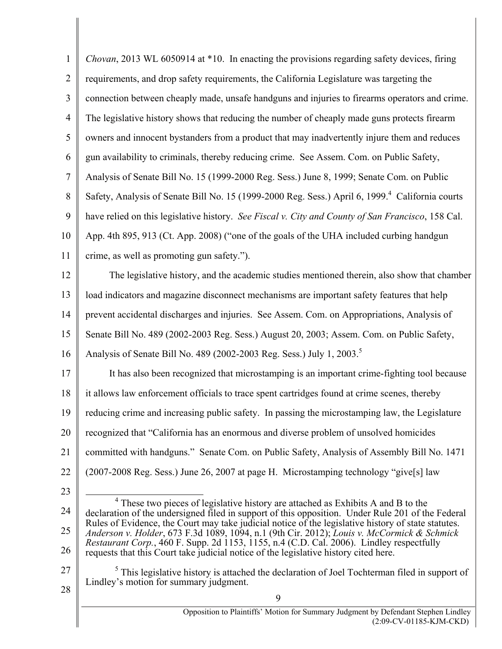| $\mathbf{1}$   | Chovan, 2013 WL 6050914 at *10. In enacting the provisions regarding safety devices, firing                                                                                                       |  |  |
|----------------|---------------------------------------------------------------------------------------------------------------------------------------------------------------------------------------------------|--|--|
| $\overline{2}$ | requirements, and drop safety requirements, the California Legislature was targeting the                                                                                                          |  |  |
| 3              | connection between cheaply made, unsafe handguns and injuries to firearms operators and crime.                                                                                                    |  |  |
| $\overline{4}$ | The legislative history shows that reducing the number of cheaply made guns protects firearm                                                                                                      |  |  |
| 5              | owners and innocent bystanders from a product that may inadvertently injure them and reduces                                                                                                      |  |  |
| 6              | gun availability to criminals, thereby reducing crime. See Assem. Com. on Public Safety,                                                                                                          |  |  |
| $\overline{7}$ | Analysis of Senate Bill No. 15 (1999-2000 Reg. Sess.) June 8, 1999; Senate Com. on Public                                                                                                         |  |  |
| 8              | Safety, Analysis of Senate Bill No. 15 (1999-2000 Reg. Sess.) April 6, 1999. <sup>4</sup> California courts                                                                                       |  |  |
| 9              | have relied on this legislative history. See Fiscal v. City and County of San Francisco, 158 Cal.                                                                                                 |  |  |
| 10             | App. 4th 895, 913 (Ct. App. 2008) ("one of the goals of the UHA included curbing handgun                                                                                                          |  |  |
| 11             | crime, as well as promoting gun safety.").                                                                                                                                                        |  |  |
| 12             | The legislative history, and the academic studies mentioned therein, also show that chamber                                                                                                       |  |  |
| 13             | load indicators and magazine disconnect mechanisms are important safety features that help                                                                                                        |  |  |
| 14             | prevent accidental discharges and injuries. See Assem. Com. on Appropriations, Analysis of                                                                                                        |  |  |
| 15             | Senate Bill No. 489 (2002-2003 Reg. Sess.) August 20, 2003; Assem. Com. on Public Safety,                                                                                                         |  |  |
| 16             | Analysis of Senate Bill No. 489 (2002-2003 Reg. Sess.) July 1, 2003. <sup>5</sup>                                                                                                                 |  |  |
| 17             | It has also been recognized that microstamping is an important crime-fighting tool because                                                                                                        |  |  |
| 18             | it allows law enforcement officials to trace spent cartridges found at crime scenes, thereby                                                                                                      |  |  |
| 19             | reducing crime and increasing public safety. In passing the microstamping law, the Legislature                                                                                                    |  |  |
| 20             | recognized that "California has an enormous and diverse problem of unsolved homicides                                                                                                             |  |  |
| 21             | committed with handguns." Senate Com. on Public Safety, Analysis of Assembly Bill No. 1471                                                                                                        |  |  |
| 22             | (2007-2008 Reg. Sess.) June 26, 2007 at page H. Microstamping technology "give[s] law                                                                                                             |  |  |
| 23             |                                                                                                                                                                                                   |  |  |
| 24             | <sup>4</sup> These two pieces of legislative history are attached as Exhibits A and B to the<br>declaration of the undersigned filed in support of this opposition. Under Rule 201 of the Federal |  |  |
| 25             | Rules of Evidence, the Court may take judicial notice of the legislative history of state statutes.<br>Anderson v. Holder, 673 F.3d 1089, 1094, n.1 (9th Cir. 2012); Louis v. McCormick & Schmick |  |  |
| 26             | Restaurant Corp., 460 F. Supp. 2d 1153, 1155, n.4 (C.D. Cal. 2006). Lindley respectfully<br>requests that this Court take judicial notice of the legislative history cited here.                  |  |  |
| 27             | $5$ This legislative history is attached the declaration of Joel Tochterman filed in support of                                                                                                   |  |  |
| 28             | Lindley's motion for summary judgment.                                                                                                                                                            |  |  |
|                | 9<br>Opposition to Plaintiffs' Motion for Summary Judgment by Defendant Stephen Lindley                                                                                                           |  |  |
|                | $(2:09$ -CV-01185-KJM-CKD)                                                                                                                                                                        |  |  |

<sup>(2:09-</sup>CV-01185-KJM-CKD)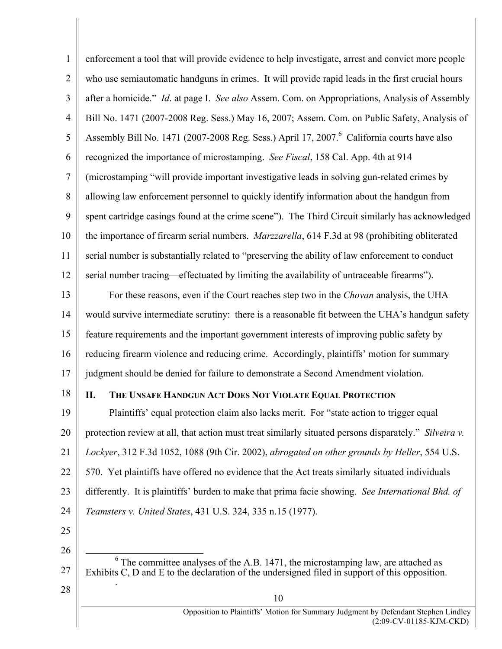1 2 3 4 5 6 7 8 9 10 11 12 enforcement a tool that will provide evidence to help investigate, arrest and convict more people who use semiautomatic handguns in crimes. It will provide rapid leads in the first crucial hours after a homicide." *Id*. at page I. *See also* Assem. Com. on Appropriations, Analysis of Assembly Bill No. 1471 (2007-2008 Reg. Sess.) May 16, 2007; Assem. Com. on Public Safety, Analysis of Assembly Bill No. 1471 (2007-2008 Reg. Sess.) April 17, 2007.<sup>6</sup> California courts have also recognized the importance of microstamping. *See Fiscal*, 158 Cal. App. 4th at 914 (microstamping "will provide important investigative leads in solving gun-related crimes by allowing law enforcement personnel to quickly identify information about the handgun from spent cartridge casings found at the crime scene"). The Third Circuit similarly has acknowledged the importance of firearm serial numbers. *Marzzarella*, 614 F.3d at 98 (prohibiting obliterated serial number is substantially related to "preserving the ability of law enforcement to conduct serial number tracing—effectuated by limiting the availability of untraceable firearms").

13 14 15 16 17 For these reasons, even if the Court reaches step two in the *Chovan* analysis, the UHA would survive intermediate scrutiny: there is a reasonable fit between the UHA's handgun safety feature requirements and the important government interests of improving public safety by reducing firearm violence and reducing crime. Accordingly, plaintiffs' motion for summary judgment should be denied for failure to demonstrate a Second Amendment violation.

18

### **II. THE UNSAFE HANDGUN ACT DOES NOT VIOLATE EQUAL PROTECTION**

19 20 21 22 23 24 Plaintiffs' equal protection claim also lacks merit. For "state action to trigger equal protection review at all, that action must treat similarly situated persons disparately." *Silveira v. Lockyer*, 312 F.3d 1052, 1088 (9th Cir. 2002), *abrogated on other grounds by Heller*, 554 U.S. 570. Yet plaintiffs have offered no evidence that the Act treats similarly situated individuals differently. It is plaintiffs' burden to make that prima facie showing. *See International Bhd. of Teamsters v. United States*, 431 U.S. 324, 335 n.15 (1977).

25

26

 6  $6$  The committee analyses of the A.B. 1471, the microstamping law, are attached as Exhibits C, D and E to the declaration of the undersigned filed in support of this opposition. .

10

28

27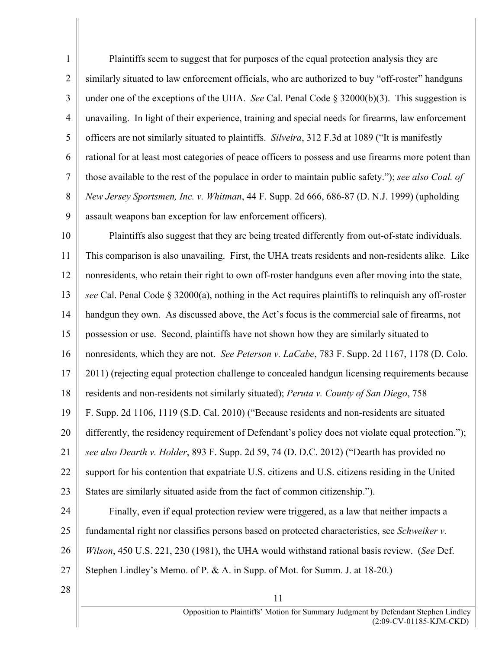1 2 3 4 5 6 7 8 9 Plaintiffs seem to suggest that for purposes of the equal protection analysis they are similarly situated to law enforcement officials, who are authorized to buy "off-roster" handguns under one of the exceptions of the UHA. *See* Cal. Penal Code § 32000(b)(3). This suggestion is unavailing. In light of their experience, training and special needs for firearms, law enforcement officers are not similarly situated to plaintiffs. *Silveira*, 312 F.3d at 1089 ("It is manifestly rational for at least most categories of peace officers to possess and use firearms more potent than those available to the rest of the populace in order to maintain public safety."); *see also Coal. of New Jersey Sportsmen, Inc. v. Whitman*, 44 F. Supp. 2d 666, 686-87 (D. N.J. 1999) (upholding assault weapons ban exception for law enforcement officers).

10 11 12 13 14 15 16 17 18 19 20 21 22 23 24 Plaintiffs also suggest that they are being treated differently from out-of-state individuals. This comparison is also unavailing. First, the UHA treats residents and non-residents alike. Like nonresidents, who retain their right to own off-roster handguns even after moving into the state, *see* Cal. Penal Code § 32000(a), nothing in the Act requires plaintiffs to relinquish any off-roster handgun they own. As discussed above, the Act's focus is the commercial sale of firearms, not possession or use. Second, plaintiffs have not shown how they are similarly situated to nonresidents, which they are not. *See Peterson v. LaCabe*, 783 F. Supp. 2d 1167, 1178 (D. Colo. 2011) (rejecting equal protection challenge to concealed handgun licensing requirements because residents and non-residents not similarly situated); *Peruta v. County of San Diego*, 758 F. Supp. 2d 1106, 1119 (S.D. Cal. 2010) ("Because residents and non-residents are situated differently, the residency requirement of Defendant's policy does not violate equal protection."); *see also Dearth v. Holder*, 893 F. Supp. 2d 59, 74 (D. D.C. 2012) ("Dearth has provided no support for his contention that expatriate U.S. citizens and U.S. citizens residing in the United States are similarly situated aside from the fact of common citizenship."). Finally, even if equal protection review were triggered, as a law that neither impacts a

25 26 27 fundamental right nor classifies persons based on protected characteristics, see *Schweiker v. Wilson*, 450 U.S. 221, 230 (1981), the UHA would withstand rational basis review. (*See* Def. Stephen Lindley's Memo. of P. & A. in Supp. of Mot. for Summ. J. at 18-20.)

11

28